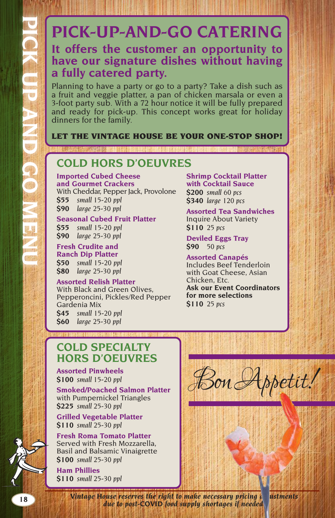# **PICK-UP-AND-GO CATERING**

# **It offers the customer an opportunity to have our signature dishes without having a fully catered party.**

Planning to have a party or go to a party? Take a dish such as a fruit and veggie platter, a pan of chicken marsala or even a 3-foot party sub. With a 72 hour notice it will be fully prepared and ready for pick-up. This concept works great for holiday dinners for the family.

### LET THE VINTAGE HOUSE BE YOUR ONE-STOP SHOP!

# **COLD HORS D'OEUVRES**

**Imported Cubed Cheese and Gourmet Crackers**  With Cheddar, Pepper Jack, Provolone

**\$55** *small 15-20 ppl* **\$90** *large 25-30 ppl*

### **Seasonal Cubed Fruit Platter**

**\$55** *small 15-20 ppl* **\$90** *large 25-30 ppl*

### **Fresh Crudite and Ranch Dip Platter**

**\$50** *small 15-20 ppl* **\$80** *large 25-30 ppl*

### **Assorted Relish Platter**

With Black and Green Olives, Pepperoncini, Pickles/Red Pepper Gardenia Mix **\$45** *small 15-20 ppl*

**\$60** *large 25-30 ppl*

**Shrimp Cocktail Platter with Cocktail Sauce \$200** *small 60 pcs* **\$340** *large 120 pcs*

**Assorted Tea Sandwiches**  Inquire About Variety **\$110** *25 pcs*

**Deviled Eggs Tray \$90** *50 pcs*

#### **Assorted Canapés**  Includes Beef Tenderloin with Goat Cheese, Asian Chicken, Etc.

**Ask our Event Coordinators for more selections \$110** *25 pcs*

# **COLD SPECIALTY HORS D'OEUVRES**

**Assorted Pinwheels \$100** *small 15-20 ppl*

**Smoked/Poached Salmon Platter**  with Pumpernickel Triangles **\$225** *small 25-30 ppl*

**Grilled Vegetable Platter \$110** *small 25-30 ppl*

**Fresh Roma Tomato Platter**  Served with Fresh Mozzarella, Basil and Balsamic Vinaigrette **\$100** *small 25-30 ppl*

**Ham Phillies \$110** *small 25-30 ppl*

Bon Appetit!

**18 <b>***Vintage House reserves the right to make necessary pricing a ustments due to post-COVID food supply shortages if needed.*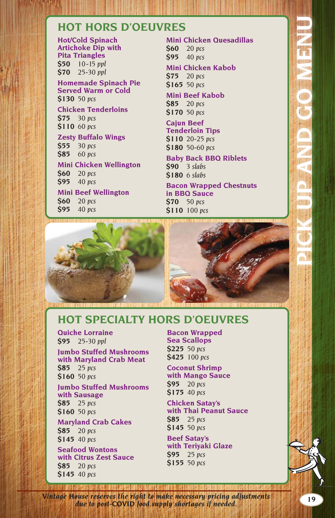### **HOT HORS D'OEUVRES**

**Hot/Cold Spinach Artichoke Dip with Pita Triangles \$50** *10-15 ppl*  **\$70** *25-30 ppl*

**Homemade Spinach Pie Served Warm or Cold \$130** *50 pcs*

**Chicken Tenderloins \$75** *30 pcs*  **\$110** *60 pcs*

**Zesty Buffalo Wings \$55** *30 pcs*  **\$85** *60 pcs*

**Mini Chicken Wellington \$60** *20 pcs*  **\$95** *40 pcs*

**Mini Beef Wellington \$60** *20 pcs*  **\$95** *40 pcs*

**Mini Chicken Quesadillas \$60** *20 pcs*  **\$95** *40 pcs*

**Mini Chicken Kabob**

**\$75** *20 pcs*  **\$165** *50 pcs*

**Mini Beef Kabob \$85** *20 pcs*  **\$170** *50 pcs*

**Cajun Beef Tenderloin Tips \$110** *20-25 pcs* 

**\$180** *50-60 pcs*

**Baby Back BBQ Riblets \$90** *3 slabs*  **\$180** *6 slabs*

**Bacon Wrapped Chestnuts in BBQ Sauce \$70** *50 pcs*  **\$110** *100 pcs*



### **HOT SPECIALTY HORS D'OEUVRES**

**Quiche Lorraine \$95** *25-30 ppl*

**Jumbo Stuffed Mushrooms with Maryland Crab Meat \$85** *25 pcs*  **\$160** *50 pcs*

**Jumbo Stuffed Mushrooms with Sausage \$85** *25 pcs*  **\$160** *50 pcs*

**Maryland Crab Cakes \$85** *20 pcs*  **\$145** *40 pcs*

**Seafood Wontons with Citrus Zest Sauce \$85** *20 pcs*  **\$145** *40 pcs*

**Bacon Wrapped Sea Scallops \$225** *50 pcs*  **\$425** *100 pcs*

**Coconut Shrimp with Mango Sauce \$95** *20 pcs*  **\$175** *40 pcs*

**Chicken Satay's with Thai Peanut Sauce \$85** *25 pcs*  **\$145** *50 pcs*

**Beef Satay's with Teriyaki Glaze \$95** *25 pcs*  **\$155** *50 pcs*

**19** *Vintage House reserves the right to make necessary pricing adjustments due to post-COVID food supply shortages if needed.*

**PICK UP AND GO MENU**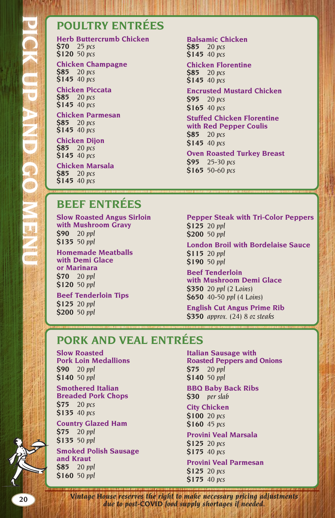# **POULTRY ENTRÉES**

**Herb Buttercrumb Chicken \$70** *25 pcs* **\$120** *50 pcs*

**Chicken Champagne \$85** *20 pcs* **\$145** *40 pcs*

**Chicken Piccata \$85** *20 pcs* **\$145** *40 pcs*

**Chicken Parmesan \$85** *20 pcs* **\$145** *40 pcs*

**Chicken Dijon \$85** *20 pcs* **\$145** *40 pcs*

**Chicken Marsala \$85** *20 pcs* **\$145** *40 pcs*

**Balsamic Chicken \$85** *20 pcs* **\$145** *40 pcs*

#### **Chicken Florentine \$85** *20 pcs* **\$145** *40 pcs*

#### **Encrusted Mustard Chicken \$95** *20 pcs* **\$165** *40 pcs*

**Stuffed Chicken Florentine with Red Pepper Coulis \$85** *20 pcs* **\$145** *40 pcs*

**Oven Roasted Turkey Breast \$95** *25-30 pcs* **\$165** *50-60 pcs*

# **BEEF ENTRÉES**

**Slow Roasted Angus Sirloin with Mushroom Gravy \$90** *20 ppl*  **\$135** *50 ppl*

**Homemade Meatballs with Demi Glace or Marinara \$70** *20 ppl*  **\$120** *50 ppl* **Beef Tenderloin Tips \$125** *20 ppl* **\$200** *50 ppl*

**Pepper Steak with Tri-Color Peppers \$125** *20 ppl*  **\$200** *50 ppl*

**London Broil with Bordelaise Sauce \$115** *20 ppl*  **\$190** *50 ppl*

**Beef Tenderloin with Mushroom Demi Glace \$350** *20 ppl (2 Loins)* **\$650** *40-50 ppl (4 Loins)*

**English Cut Angus Prime Rib \$350** *approx. (24) 8 oz steaks*

# **PORK AND VEAL ENTRÉES**

**Slow Roasted Pork Loin Medallions \$90** *20 ppl* **\$140** *50 ppl*

**Smothered Italian Breaded Pork Chops \$75** *20 pcs* **\$135** *40 pcs*

**Country Glazed Ham \$75** *20 ppl* **\$135** *50 ppl*

**Smoked Polish Sausage and Kraut \$85** *20 ppl* **\$160** *50 ppl*

**Italian Sausage with Roasted Peppers and Onions \$75** *20 ppl* **\$140** *50 ppl*

#### **BBQ Baby Back Ribs \$30** *per slab*

**City Chicken \$100** *20 pcs* **\$160** *45 pcs*

#### **Provini Veal Marsala \$125** *20 pcs*

**\$175** *40 pcs*

**Provini Veal Parmesan \$125** *20 pcs* **\$175** *40 pcs*

**20** *Vintage House reserves the right to make necessary pricing adjustments due to post-COVID food supply shortages if needed.*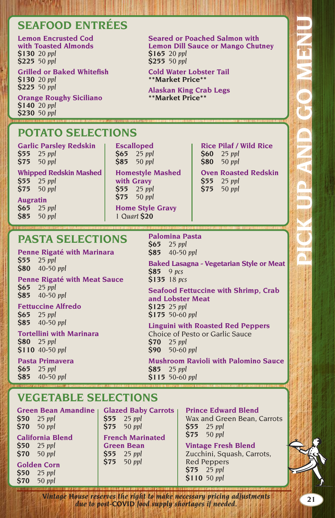# **SEAFOOD ENTRÉES**

#### **Lemon Encrusted Cod with Toasted Almonds \$130** *20 ppl* **\$225** *50 ppl*

**Grilled or Baked Whitefish \$130** *20 ppl* **\$225** *50 ppl*

**Orange Roughy Siciliano \$140** *20 ppl* **\$230** *50 ppl*

# **POTATO SELECTIONS**

**Garlic Parsley Redskin \$55** *25 ppl* **\$75** *50 ppl*

**Whipped Redskin Mashed \$55** *25 ppl* **\$75** *50 ppl*

**Augratin \$65** *25 ppl* **\$85** *50 ppl* **Escalloped \$65** *25 ppl*  **\$85** *50 ppl*

**Homestyle Mashed with Gravy \$55** *25 ppl* **\$75** *50 ppl*

> **Home Style Gravy** *1 Quart \$20*

#### **Rice Pilaf / Wild Rice \$60** *25 ppl*

**\$80** *50 ppl*

**Seared or Poached Salmon with Lemon Dill Sauce or Mango Chutney**

**Cold Water Lobster Tail \*\*Market Price\*\* Alaskan King Crab Legs \*\*Market Price\*\***

**\$165** *20 ppl* **\$255** *50 ppl*

### **Oven Roasted Redskin**

- **\$55** *25 ppl*
- **\$75** *50 ppl*

# **PASTA SELECTIONS**

**Penne Rigaté with Marinara \$55** *25 ppl* **\$80** *40-50 ppl*

**Penne Rigaté with Meat Sauce \$65** *25 ppl* **\$85** *40-50 ppl*

### **Fettuccine Alfredo**

**\$65** *25 ppl* **\$85** *40-50 ppl*

**Tortellini with Marinara \$80** *25 ppl* **\$110** *40-50 ppl*

**Pasta Primavera \$65** *25 ppl* **\$85** *40-50 ppl*

**Palomina Pasta \$65** *25 ppl* **\$85** *40-50 ppl*

**Baked Lasagna - Vegetarian Style or Meat \$85** *9 pcs* **\$135** *18 pcs*

**Seafood Fettuccine with Shrimp, Crab and Lobster Meat \$125** *25 ppl* **\$175** *50-60 ppl*

### **Linguini with Roasted Red Peppers**

Choice of Pesto or Garlic Sauce **\$70** *25 ppl* **\$90** *50-60 ppl*

**Mushroom Ravioli with Palomino Sauce \$85** *25 ppl* **\$115** *50-60 ppl*

# **VEGETABLE SELECTIONS**

Green Bean Amandine | Glazed Baby Carrots **\$50** *25 ppl*

**\$70** *50 ppl* **California Blend**

**\$50** *25 ppl* **\$70** *50 ppl*

**Golden Corn \$50** *25 ppl* **\$70** *50 ppl*

**\$55** *25 ppl* **\$75** *50 ppl* **French Marinated Green Bean \$55** *25 ppl* **\$75** *50 ppl*

**Prince Edward Blend** 

Wax and Green Bean, Carrots **\$55** *25 ppl* **\$75** *50 ppl*

**Vintage Fresh Blend** 

Zucchini, Squash, Carrots, Red Peppers  $$75$   $25$  *ppl* **\$110** *50 ppl*

**21** *Vintage House reserves the right to make necessary pricing adjustments due to post-COVID food supply shortages if needed.*

**PICK UP AND GO MENU**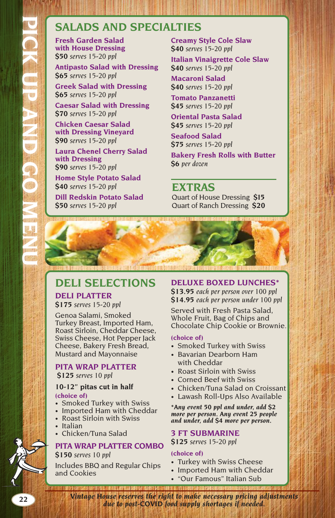## **SALADS AND SPECIALTIES**

**Fresh Garden Salad with House Dressing \$50** *serves 15-20 ppl*

**Antipasto Salad with Dressing \$65** *serves 15-20 ppl*

**Greek Salad with Dressing \$65** *serves 15-20 ppl*

**Caesar Salad with Dressing \$70** *serves 15-20 ppl*

**Chicken Caesar Salad with Dressing Vineyard \$90** *serves 15-20 ppl*

**Laura Chenel Cherry Salad with Dressing \$90** *serves 15-20 ppl*

**Home Style Potato Salad \$40** *serves 15-20 ppl* **Dill Redskin Potato Salad \$50** *serves 15-20 ppl*

**Creamy Style Cole Slaw \$40** *serves 15-20 ppl*

**Italian Vinaigrette Cole Slaw \$40** *serves 15-20 ppl*

**Macaroni Salad \$40** *serves 15-20 ppl*

**Tomato Panzanetti \$45** *serves 15-20 ppl*

**Oriental Pasta Salad \$45** *serves 15-20 ppl*

**Seafood Salad \$75** *serves 15-20 ppl* **Bakery Fresh Rolls with Butter**

**\$6** *per dozen*

**EXTRAS** Quart of House Dressing **\$15** Quart of Ranch Dressing **\$20**

# **DELI SELECTIONS**

# **DELI PLATTER**

**\$175** *serves 15-20 ppl*

Genoa Salami, Smoked Turkey Breast, Imported Ham, Roast Sirloin, Cheddar Cheese, Swiss Cheese, Hot Pepper Jack Cheese, Bakery Fresh Bread, Mustard and Mayonnaise

# **PITA WRAP PLATTER**

**\$125** *serves 10 ppl*

#### **10-12" pitas cut in half (choice of)**

- Smoked Turkey with Swiss
- Imported Ham with Cheddar
- Roast Sirloin with Swiss
- Italian
- Chicken/Tuna Salad

### **PITA WRAP PLATTER COMBO \$150** *serves 10 ppl*

Includes BBQ and Regular Chips and Cookies

### **DELUXE BOXED LUNCHES\***

**\$13.95** *each per person over 100 ppl*  **\$14.95** *each per person under 100 ppl*

Served with Fresh Pasta Salad, Whole Fruit, Bag of Chips and Chocolate Chip Cookie or Brownie.

### **(choice of)**

- Smoked Turkey with Swiss
- Bavarian Dearborn Ham with Cheddar
- Roast Sirloin with Swiss
- Corned Beef with Swiss
- Chicken/Tuna Salad on Croissant
- Lawash Roll-Ups Also Available

*\*Any event 50 ppl and under, add \$2 more per person. Any event 25 people and under, add \$4 more per person.*

### **3 FT SUBMARINE**

**\$125** *serves 15-20 ppl*

### **(choice of)**

- Turkey with Swiss Cheese
- Imported Ham with Cheddar
- "Our Famous" Italian Sub

**22** *Vintage House reserves the right to make necessary pricing adjustments due to post-COVID food supply shortages if needed.*